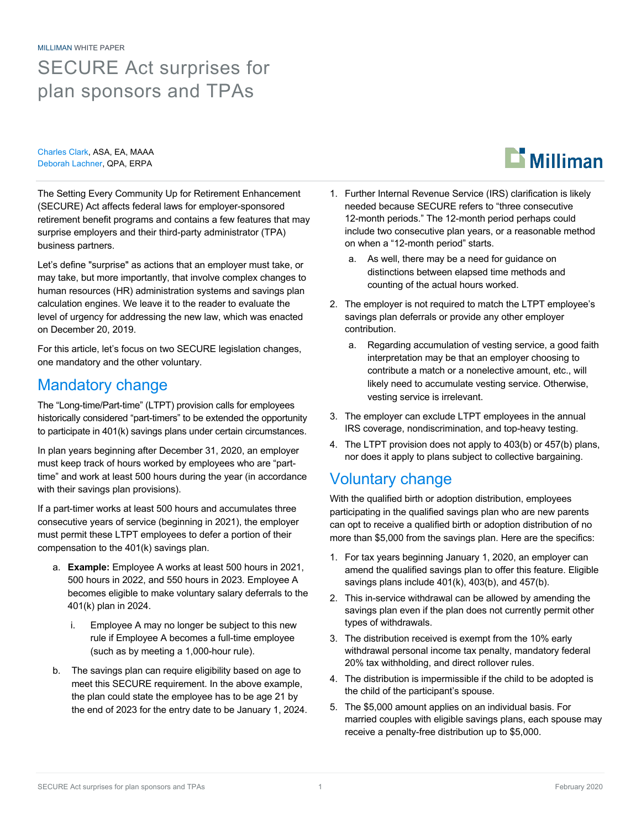MILLIMAN WHITE PAPER SECURE Act surprises for plan sponsors and TPAs

Charles Clark, ASA, EA, MAAA Deborah Lachner, QPA, ERPA

The Setting Every Community Up for Retirement Enhancement (SECURE) Act affects federal laws for employer-sponsored retirement benefit programs and contains a few features that may surprise employers and their third-party administrator (TPA) business partners.

Let's define "surprise" as actions that an employer must take, or may take, but more importantly, that involve complex changes to human resources (HR) administration systems and savings plan calculation engines. We leave it to the reader to evaluate the level of urgency for addressing the new law, which was enacted on December 20, 2019.

For this article, let's focus on two SECURE legislation changes, one mandatory and the other voluntary.

## Mandatory change

The "Long-time/Part-time" (LTPT) provision calls for employees historically considered "part-timers" to be extended the opportunity to participate in 401(k) savings plans under certain circumstances.

In plan years beginning after December 31, 2020, an employer must keep track of hours worked by employees who are "parttime" and work at least 500 hours during the year (in accordance with their savings plan provisions).

If a part-timer works at least 500 hours and accumulates three consecutive years of service (beginning in 2021), the employer must permit these LTPT employees to defer a portion of their compensation to the 401(k) savings plan.

- a. **Example:** Employee A works at least 500 hours in 2021, 500 hours in 2022, and 550 hours in 2023. Employee A becomes eligible to make voluntary salary deferrals to the 401(k) plan in 2024.
	- i. Employee A may no longer be subject to this new rule if Employee A becomes a full-time employee (such as by meeting a 1,000-hour rule).
- b. The savings plan can require eligibility based on age to meet this SECURE requirement. In the above example, the plan could state the employee has to be age 21 by the end of 2023 for the entry date to be January 1, 2024.
- 1. Further Internal Revenue Service (IRS) clarification is likely needed because SECURE refers to "three consecutive 12-month periods." The 12-month period perhaps could include two consecutive plan years, or a reasonable method on when a "12-month period" starts.
	- a. As well, there may be a need for guidance on distinctions between elapsed time methods and counting of the actual hours worked.
- 2. The employer is not required to match the LTPT employee's savings plan deferrals or provide any other employer contribution.
	- a. Regarding accumulation of vesting service, a good faith interpretation may be that an employer choosing to contribute a match or a nonelective amount, etc., will likely need to accumulate vesting service. Otherwise, vesting service is irrelevant.
- 3. The employer can exclude LTPT employees in the annual IRS coverage, nondiscrimination, and top-heavy testing.
- 4. The LTPT provision does not apply to 403(b) or 457(b) plans, nor does it apply to plans subject to collective bargaining.

## Voluntary change

With the qualified birth or adoption distribution, employees participating in the qualified savings plan who are new parents can opt to receive a qualified birth or adoption distribution of no more than \$5,000 from the savings plan. Here are the specifics:

- 1. For tax years beginning January 1, 2020, an employer can amend the qualified savings plan to offer this feature. Eligible savings plans include 401(k), 403(b), and 457(b).
- 2. This in-service withdrawal can be allowed by amending the savings plan even if the plan does not currently permit other types of withdrawals.
- 3. The distribution received is exempt from the 10% early withdrawal personal income tax penalty, mandatory federal 20% tax withholding, and direct rollover rules.
- 4. The distribution is impermissible if the child to be adopted is the child of the participant's spouse.
- 5. The \$5,000 amount applies on an individual basis. For married couples with eligible savings plans, each spouse may receive a penalty-free distribution up to \$5,000.